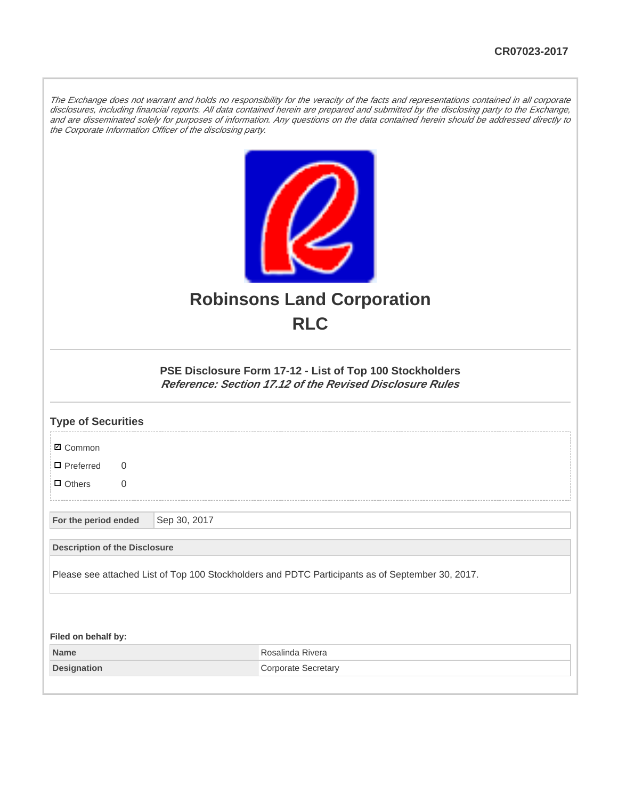The Exchange does not warrant and holds no responsibility for the veracity of the facts and representations contained in all corporate disclosures, including financial reports. All data contained herein are prepared and submitted by the disclosing party to the Exchange, and are disseminated solely for purposes of information. Any questions on the data contained herein should be addressed directly to the Corporate Information Officer of the disclosing party.



## **Robinsons Land Corporation RLC**

## **PSE Disclosure Form 17-12 - List of Top 100 Stockholders Reference: Section 17.12 of the Revised Disclosure Rules**

| <b>Type of Securities</b>                                                                        |  |              |                            |  |  |
|--------------------------------------------------------------------------------------------------|--|--------------|----------------------------|--|--|
| <b>Ø</b> Common                                                                                  |  |              |                            |  |  |
| $\Box$ Preferred<br>$\Omega$                                                                     |  |              |                            |  |  |
| $\Box$ Others<br>$\overline{0}$                                                                  |  |              |                            |  |  |
| For the period ended                                                                             |  | Sep 30, 2017 |                            |  |  |
| <b>Description of the Disclosure</b>                                                             |  |              |                            |  |  |
| Please see attached List of Top 100 Stockholders and PDTC Participants as of September 30, 2017. |  |              |                            |  |  |
|                                                                                                  |  |              |                            |  |  |
| Filed on behalf by:                                                                              |  |              |                            |  |  |
| <b>Name</b>                                                                                      |  |              | Rosalinda Rivera           |  |  |
| <b>Designation</b>                                                                               |  |              | <b>Corporate Secretary</b> |  |  |
|                                                                                                  |  |              |                            |  |  |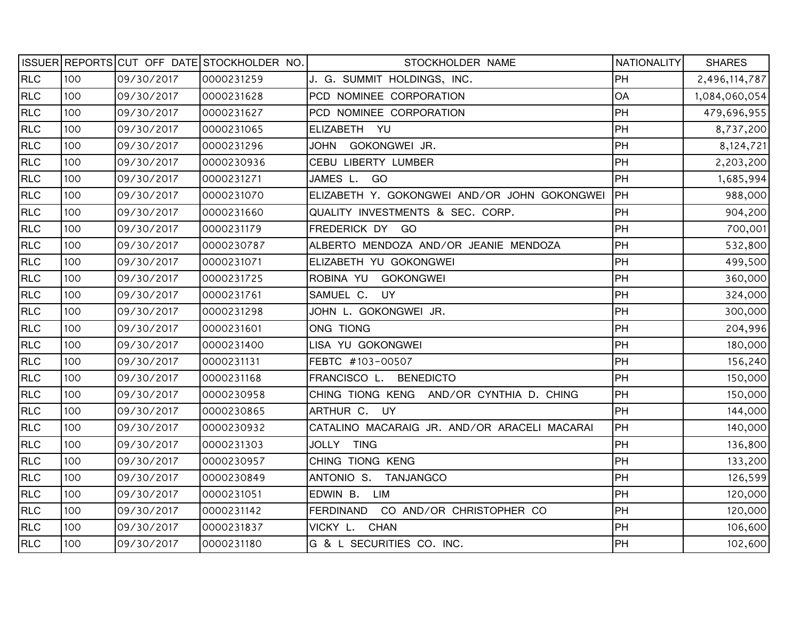|            |     |            | ISSUER REPORTS CUT OFF DATE STOCKHOLDER NO. | STOCKHOLDER NAME                             | <b>NATIONALITY</b> | <b>SHARES</b> |
|------------|-----|------------|---------------------------------------------|----------------------------------------------|--------------------|---------------|
| <b>RLC</b> | 100 | 09/30/2017 | 0000231259                                  | J. G. SUMMIT HOLDINGS, INC.                  | PH                 | 2,496,114,787 |
| <b>RLC</b> | 100 | 09/30/2017 | 0000231628                                  | PCD NOMINEE CORPORATION                      | OA                 | 1,084,060,054 |
| <b>RLC</b> | 100 | 09/30/2017 | 0000231627                                  | PCD NOMINEE CORPORATION                      | PH                 | 479,696,955   |
| RLC        | 100 | 09/30/2017 | 0000231065                                  | ELIZABETH YU                                 | PH                 | 8,737,200     |
| <b>RLC</b> | 100 | 09/30/2017 | 0000231296                                  | JOHN GOKONGWEI JR.                           | PH                 | 8,124,721     |
| RLC        | 100 | 09/30/2017 | 0000230936                                  | CEBU LIBERTY LUMBER                          | PH                 | 2,203,200     |
| <b>RLC</b> | 100 | 09/30/2017 | 0000231271                                  | JAMES L. GO                                  | PH                 | 1,685,994     |
| RLC        | 100 | 09/30/2017 | 0000231070                                  | ELIZABETH Y. GOKONGWEI AND/OR JOHN GOKONGWEI | <b>IPH</b>         | 988,000       |
| RLC        | 100 | 09/30/2017 | 0000231660                                  | QUALITY INVESTMENTS & SEC. CORP.             | PH                 | 904,200       |
| RLC        | 100 | 09/30/2017 | 0000231179                                  | FREDERICK DY GO                              | PH                 | 700,001       |
| RLC        | 100 | 09/30/2017 | 0000230787                                  | ALBERTO MENDOZA AND/OR JEANIE MENDOZA        | PH                 | 532,800       |
| RLC        | 100 | 09/30/2017 | 0000231071                                  | ELIZABETH YU GOKONGWEI                       | PH                 | 499,500       |
| RLC        | 100 | 09/30/2017 | 0000231725                                  | ROBINA YU GOKONGWEI                          | PH                 | 360,000       |
| RLC        | 100 | 09/30/2017 | 0000231761                                  | SAMUEL C. UY                                 | PH                 | 324,000       |
| <b>RLC</b> | 100 | 09/30/2017 | 0000231298                                  | JOHN L. GOKONGWEI JR.                        | PH                 | 300,000       |
| <b>RLC</b> | 100 | 09/30/2017 | 0000231601                                  | ONG TIONG                                    | PH                 | 204,996       |
| <b>RLC</b> | 100 | 09/30/2017 | 0000231400                                  | LISA YU GOKONGWEI                            | PH                 | 180,000       |
| RLC        | 100 | 09/30/2017 | 0000231131                                  | FEBTC #103-00507                             | PH                 | 156,240       |
| <b>RLC</b> | 100 | 09/30/2017 | 0000231168                                  | FRANCISCO L. BENEDICTO                       | PH                 | 150,000       |
| RLC        | 100 | 09/30/2017 | 0000230958                                  | CHING TIONG KENG AND/OR CYNTHIA D. CHING     | PH                 | 150,000       |
| <b>RLC</b> | 100 | 09/30/2017 | 0000230865                                  | ARTHUR C. UY                                 | PH                 | 144,000       |
| <b>RLC</b> | 100 | 09/30/2017 | 0000230932                                  | CATALINO MACARAIG JR. AND/OR ARACELI MACARAI | PH                 | 140,000       |
| <b>RLC</b> | 100 | 09/30/2017 | 0000231303                                  | JOLLY TING                                   | PH                 | 136,800       |
| <b>RLC</b> | 100 | 09/30/2017 | 0000230957                                  | CHING TIONG KENG                             | PH                 | 133,200       |
| <b>RLC</b> | 100 | 09/30/2017 | 0000230849                                  | ANTONIO S. TANJANGCO                         | PH                 | 126,599       |
| <b>RLC</b> | 100 | 09/30/2017 | 0000231051                                  | EDWIN B. LIM                                 | PH                 | 120,000       |
| <b>RLC</b> | 100 | 09/30/2017 | 0000231142                                  | FERDINAND CO AND/OR CHRISTOPHER CO           | PH                 | 120,000       |
| <b>RLC</b> | 100 | 09/30/2017 | 0000231837                                  | VICKY L. CHAN                                | PH                 | 106,600       |
| <b>RLC</b> | 100 | 09/30/2017 | 0000231180                                  | G & L SECURITIES CO. INC.                    | PH                 | 102,600       |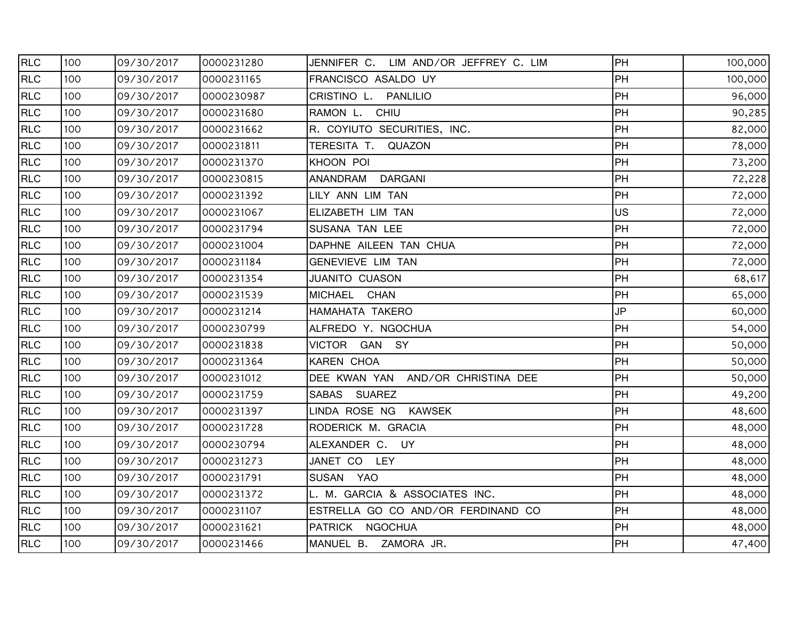| <b>RLC</b> | 100 | 09/30/2017 | 0000231280 | JENNIFER C.<br>LIM AND/OR JEFFREY C. LIM | PH        | 100,000 |
|------------|-----|------------|------------|------------------------------------------|-----------|---------|
| <b>RLC</b> | 100 | 09/30/2017 | 0000231165 | FRANCISCO ASALDO UY                      | PH        | 100,000 |
| <b>RLC</b> | 100 | 09/30/2017 | 0000230987 | CRISTINO L.<br><b>PANLILIO</b>           | PH        | 96,000  |
| <b>RLC</b> | 100 | 09/30/2017 | 0000231680 | RAMON L. CHIU                            | PH        | 90,285  |
| <b>RLC</b> | 100 | 09/30/2017 | 0000231662 | R. COYIUTO SECURITIES, INC.              | PH        | 82,000  |
| <b>RLC</b> | 100 | 09/30/2017 | 0000231811 | TERESITA T.<br>QUAZON                    | PH        | 78,000  |
| <b>RLC</b> | 100 | 09/30/2017 | 0000231370 | KHOON POI                                | PH        | 73,200  |
| <b>RLC</b> | 100 | 09/30/2017 | 0000230815 | ANANDRAM<br><b>DARGANI</b>               | PH        | 72,228  |
| <b>RLC</b> | 100 | 09/30/2017 | 0000231392 | LILY ANN LIM TAN                         | PH        | 72,000  |
| <b>RLC</b> | 100 | 09/30/2017 | 0000231067 | ELIZABETH LIM TAN                        | <b>US</b> | 72,000  |
| <b>RLC</b> | 100 | 09/30/2017 | 0000231794 | SUSANA TAN LEE                           | PH        | 72,000  |
| <b>RLC</b> | 100 | 09/30/2017 | 0000231004 | DAPHNE AILEEN TAN CHUA                   | PH        | 72,000  |
| <b>RLC</b> | 100 | 09/30/2017 | 0000231184 | GENEVIEVE LIM TAN                        | PH        | 72,000  |
| <b>RLC</b> | 100 | 09/30/2017 | 0000231354 | <b>JUANITO CUASON</b>                    | PH        | 68,617  |
| <b>RLC</b> | 100 | 09/30/2017 | 0000231539 | MICHAEL CHAN                             | PH        | 65,000  |
| <b>RLC</b> | 100 | 09/30/2017 | 0000231214 | HAMAHATA TAKERO                          | <b>JP</b> | 60,000  |
| <b>RLC</b> | 100 | 09/30/2017 | 0000230799 | ALFREDO Y. NGOCHUA                       | PH        | 54,000  |
| <b>RLC</b> | 100 | 09/30/2017 | 0000231838 | <b>VICTOR</b><br>GAN SY                  | PH        | 50,000  |
| <b>RLC</b> | 100 | 09/30/2017 | 0000231364 | KAREN CHOA                               | PH        | 50,000  |
| RLC        | 100 | 09/30/2017 | 0000231012 | DEE KWAN YAN AND/OR CHRISTINA DEE        | PH        | 50,000  |
| <b>RLC</b> | 100 | 09/30/2017 | 0000231759 | SABAS SUAREZ                             | PH        | 49,200  |
| <b>RLC</b> | 100 | 09/30/2017 | 0000231397 | LINDA ROSE NG<br><b>KAWSEK</b>           | PH        | 48,600  |
| RLC        | 100 | 09/30/2017 | 0000231728 | RODERICK M. GRACIA                       | PH        | 48,000  |
| <b>RLC</b> | 100 | 09/30/2017 | 0000230794 | ALEXANDER C. UY                          | PH        | 48,000  |
| <b>RLC</b> | 100 | 09/30/2017 | 0000231273 | JANET CO LEY                             | PH        | 48,000  |
| <b>RLC</b> | 100 | 09/30/2017 | 0000231791 | SUSAN YAO                                | PH        | 48,000  |
| <b>RLC</b> | 100 | 09/30/2017 | 0000231372 | L. M. GARCIA & ASSOCIATES INC.           | PH        | 48,000  |
| <b>RLC</b> | 100 | 09/30/2017 | 0000231107 | ESTRELLA GO CO AND/OR FERDINAND CO       | PH        | 48,000  |
| <b>RLC</b> | 100 | 09/30/2017 | 0000231621 | PATRICK NGOCHUA                          | PH        | 48,000  |
| <b>RLC</b> | 100 | 09/30/2017 | 0000231466 | MANUEL B. ZAMORA JR.                     | PH        | 47,400  |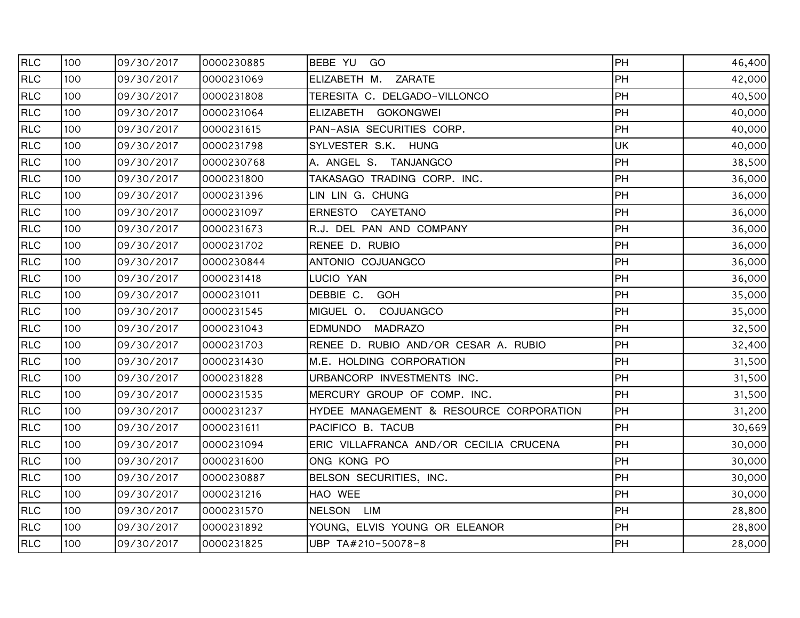| <b>RLC</b> | 100 | 09/30/2017 | 0000230885 | BEBE YU GO                              | <b>PH</b>   | 46,400 |
|------------|-----|------------|------------|-----------------------------------------|-------------|--------|
| <b>RLC</b> | 100 | 09/30/2017 | 0000231069 | ELIZABETH M. ZARATE                     | <b>I</b> PH | 42,000 |
| <b>RLC</b> | 100 | 09/30/2017 | 0000231808 | TERESITA C. DELGADO-VILLONCO            | PH          | 40,500 |
| <b>RLC</b> | 100 | 09/30/2017 | 0000231064 | ELIZABETH GOKONGWEI                     | PH          | 40,000 |
| <b>RLC</b> | 100 | 09/30/2017 | 0000231615 | PAN-ASIA SECURITIES CORP.               | <b>I</b> PH | 40,000 |
| <b>RLC</b> | 100 | 09/30/2017 | 0000231798 | SYLVESTER S.K. HUNG                     | <b>UK</b>   | 40,000 |
| <b>RLC</b> | 100 | 09/30/2017 | 0000230768 | A. ANGEL S. TANJANGCO                   | <b>PH</b>   | 38,500 |
| <b>RLC</b> | 100 | 09/30/2017 | 0000231800 | TAKASAGO TRADING CORP. INC.             | PH          | 36,000 |
| <b>RLC</b> | 100 | 09/30/2017 | 0000231396 | LIN LIN G. CHUNG                        | PH          | 36,000 |
| <b>RLC</b> | 100 | 09/30/2017 | 0000231097 | ERNESTO CAYETANO                        | PH          | 36,000 |
| <b>RLC</b> | 100 | 09/30/2017 | 0000231673 | R.J. DEL PAN AND COMPANY                | <b>PH</b>   | 36,000 |
| <b>RLC</b> | 100 | 09/30/2017 | 0000231702 | RENEE D. RUBIO                          | <b>PH</b>   | 36,000 |
| <b>RLC</b> | 100 | 09/30/2017 | 0000230844 | ANTONIO COJUANGCO                       | <b>PH</b>   | 36,000 |
| <b>RLC</b> | 100 | 09/30/2017 | 0000231418 | LUCIO YAN                               | PH          | 36,000 |
| <b>RLC</b> | 100 | 09/30/2017 | 0000231011 | DEBBIE C. GOH                           | <b>IPH</b>  | 35,000 |
| <b>RLC</b> | 100 | 09/30/2017 | 0000231545 | COJUANGCO<br>MIGUEL O.                  | PH          | 35,000 |
| <b>RLC</b> | 100 | 09/30/2017 | 0000231043 | <b>MADRAZO</b><br><b>EDMUNDO</b>        | <b>PH</b>   | 32,500 |
| <b>RLC</b> | 100 | 09/30/2017 | 0000231703 | RENEE D. RUBIO AND/OR CESAR A. RUBIO    | <b>PH</b>   | 32,400 |
| <b>RLC</b> | 100 | 09/30/2017 | 0000231430 | M.E. HOLDING CORPORATION                | <b>IPH</b>  | 31,500 |
| <b>RLC</b> | 100 | 09/30/2017 | 0000231828 | URBANCORP INVESTMENTS INC.              | PH          | 31,500 |
| <b>RLC</b> | 100 | 09/30/2017 | 0000231535 | MERCURY GROUP OF COMP. INC.             | <b>I</b> PH | 31,500 |
| <b>RLC</b> | 100 | 09/30/2017 | 0000231237 | HYDEE MANAGEMENT & RESOURCE CORPORATION | <b>I</b> PH | 31,200 |
| <b>RLC</b> | 100 | 09/30/2017 | 0000231611 | PACIFICO B. TACUB                       | <b>I</b> PH | 30,669 |
| <b>RLC</b> | 100 | 09/30/2017 | 0000231094 | ERIC VILLAFRANCA AND/OR CECILIA CRUCENA | <b>PH</b>   | 30,000 |
| <b>RLC</b> | 100 | 09/30/2017 | 0000231600 | ONG KONG PO                             | <b>PH</b>   | 30,000 |
| <b>RLC</b> | 100 | 09/30/2017 | 0000230887 | BELSON SECURITIES, INC.                 | PH          | 30,000 |
| <b>RLC</b> | 100 | 09/30/2017 | 0000231216 | HAO WEE                                 | <b>IPH</b>  | 30,000 |
| <b>RLC</b> | 100 | 09/30/2017 | 0000231570 | NELSON LIM                              | PH          | 28,800 |
| <b>RLC</b> | 100 | 09/30/2017 | 0000231892 | YOUNG, ELVIS YOUNG OR ELEANOR           | <b>PH</b>   | 28,800 |
| <b>RLC</b> | 100 | 09/30/2017 | 0000231825 | UBP TA#210-50078-8                      | <b>PH</b>   | 28,000 |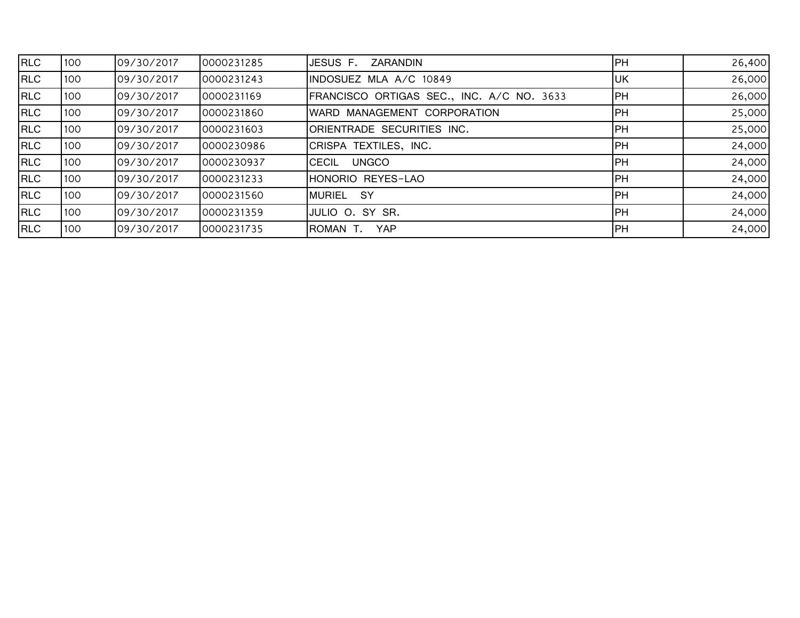| RLC        | 100 | 09/30/2017 | 0000231285 | JESUS F.<br>ZARANDIN                      | <b>IPH</b> | 26,400 |
|------------|-----|------------|------------|-------------------------------------------|------------|--------|
| <b>RLC</b> | 100 | 09/30/2017 | 0000231243 | INDOSUEZ MLA A/C 10849                    | IUК        | 26,000 |
| <b>RLC</b> | 100 | 09/30/2017 | 0000231169 | FRANCISCO ORTIGAS SEC., INC. A/C NO. 3633 | IPH.       | 26,000 |
| <b>RLC</b> | 100 | 09/30/2017 | 0000231860 | WARD MANAGEMENT CORPORATION               | IPH.       | 25,000 |
| <b>RLC</b> | 100 | 09/30/2017 | 0000231603 | ORIENTRADE SECURITIES INC.                | <b>IPH</b> | 25,000 |
| <b>RLC</b> | 100 | 09/30/2017 | 0000230986 | CRISPA TEXTILES, INC.                     | IPH.       | 24,000 |
| RLC        | 100 | 09/30/2017 | 0000230937 | <b>UNGCO</b><br><b>CECIL</b>              | IPH.       | 24,000 |
| <b>RLC</b> | 100 | 09/30/2017 | 0000231233 | HONORIO REYES-LAO                         | <b>IPH</b> | 24,000 |
| RLC        | 100 | 09/30/2017 | 0000231560 | <b>MURIEL</b><br>-SY                      | IPH.       | 24,000 |
| <b>RLC</b> | 100 | 09/30/2017 | 0000231359 | JULIO O. SY SR.                           | IPH.       | 24,000 |
| RLC        | 100 | 09/30/2017 | 0000231735 | <b>YAP</b><br>ROMAN T.                    | <b>IPH</b> | 24,000 |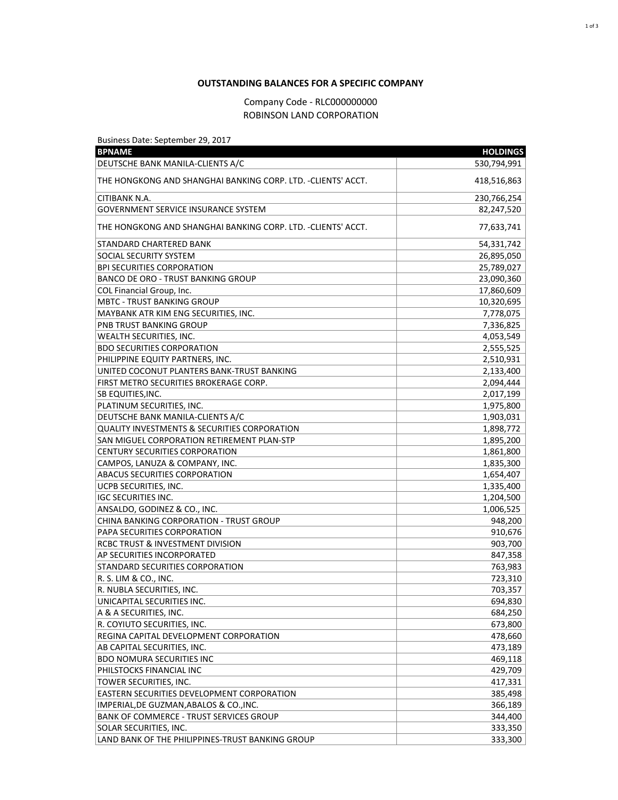## **OUTSTANDING BALANCES FOR A SPECIFIC COMPANY**

## Company Code - RLC000000000 ROBINSON LAND CORPORATION

Business Date: September 29, 2017

| <b>BPNAME</b>                                                | <b>HOLDINGS</b> |
|--------------------------------------------------------------|-----------------|
| DEUTSCHE BANK MANILA-CLIENTS A/C                             | 530,794,991     |
| THE HONGKONG AND SHANGHAI BANKING CORP. LTD. -CLIENTS' ACCT. | 418,516,863     |
| CITIBANK N.A.                                                | 230,766,254     |
| <b>GOVERNMENT SERVICE INSURANCE SYSTEM</b>                   | 82,247,520      |
| THE HONGKONG AND SHANGHAI BANKING CORP. LTD. -CLIENTS' ACCT. | 77,633,741      |
| STANDARD CHARTERED BANK                                      | 54,331,742      |
| SOCIAL SECURITY SYSTEM                                       | 26,895,050      |
| <b>BPI SECURITIES CORPORATION</b>                            | 25,789,027      |
| <b>BANCO DE ORO - TRUST BANKING GROUP</b>                    | 23,090,360      |
| COL Financial Group, Inc.                                    | 17,860,609      |
| <b>MBTC - TRUST BANKING GROUP</b>                            | 10,320,695      |
| MAYBANK ATR KIM ENG SECURITIES, INC.                         | 7,778,075       |
| PNB TRUST BANKING GROUP                                      | 7,336,825       |
| WEALTH SECURITIES, INC.                                      | 4,053,549       |
| <b>BDO SECURITIES CORPORATION</b>                            | 2,555,525       |
| PHILIPPINE EQUITY PARTNERS, INC.                             | 2,510,931       |
| UNITED COCONUT PLANTERS BANK-TRUST BANKING                   | 2,133,400       |
| FIRST METRO SECURITIES BROKERAGE CORP.                       | 2,094,444       |
| SB EQUITIES, INC.                                            | 2,017,199       |
| PLATINUM SECURITIES, INC.                                    | 1,975,800       |
| DEUTSCHE BANK MANILA-CLIENTS A/C                             | 1,903,031       |
| <b>QUALITY INVESTMENTS &amp; SECURITIES CORPORATION</b>      | 1,898,772       |
| SAN MIGUEL CORPORATION RETIREMENT PLAN-STP                   | 1,895,200       |
| CENTURY SECURITIES CORPORATION                               | 1,861,800       |
| CAMPOS, LANUZA & COMPANY, INC.                               | 1,835,300       |
| ABACUS SECURITIES CORPORATION                                | 1,654,407       |
| UCPB SECURITIES, INC.                                        | 1,335,400       |
| <b>IGC SECURITIES INC.</b>                                   | 1,204,500       |
| ANSALDO, GODINEZ & CO., INC.                                 | 1,006,525       |
| CHINA BANKING CORPORATION - TRUST GROUP                      | 948,200         |
| PAPA SECURITIES CORPORATION                                  | 910,676         |
| RCBC TRUST & INVESTMENT DIVISION                             | 903,700         |
| AP SECURITIES INCORPORATED                                   | 847,358         |
| STANDARD SECURITIES CORPORATION                              | 763,983         |
| R. S. LIM & CO., INC.                                        | 723,310         |
| R. NUBLA SECURITIES, INC.                                    | 703,357         |
| UNICAPITAL SECURITIES INC.                                   | 694,830         |
| A & A SECURITIES, INC.                                       | 684,250         |
| R. COYIUTO SECURITIES, INC.                                  | 673,800         |
| REGINA CAPITAL DEVELOPMENT CORPORATION                       | 478,660         |
| AB CAPITAL SECURITIES, INC.                                  | 473,189         |
| <b>BDO NOMURA SECURITIES INC</b>                             | 469,118         |
| PHILSTOCKS FINANCIAL INC                                     | 429,709         |
| TOWER SECURITIES, INC.                                       | 417,331         |
| EASTERN SECURITIES DEVELOPMENT CORPORATION                   | 385,498         |
| IMPERIAL, DE GUZMAN, ABALOS & CO., INC.                      | 366,189         |
| <b>BANK OF COMMERCE - TRUST SERVICES GROUP</b>               | 344,400         |
| SOLAR SECURITIES, INC.                                       | 333,350         |
| LAND BANK OF THE PHILIPPINES-TRUST BANKING GROUP             | 333,300         |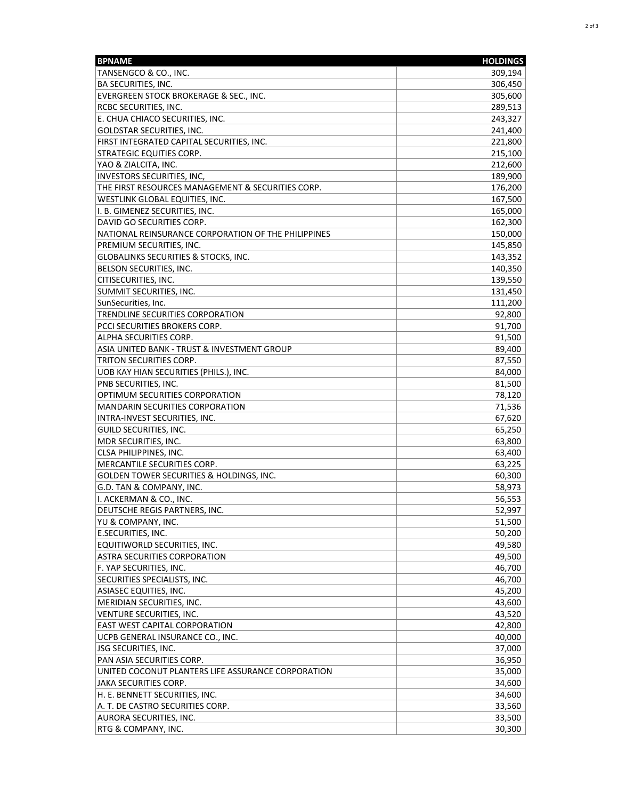| <b>BPNAME</b>                                       | <b>HOLDINGS</b> |
|-----------------------------------------------------|-----------------|
| TANSENGCO & CO., INC.                               | 309,194         |
| BA SECURITIES, INC.                                 | 306,450         |
| EVERGREEN STOCK BROKERAGE & SEC., INC.              | 305,600         |
| RCBC SECURITIES, INC.                               | 289,513         |
| E. CHUA CHIACO SECURITIES, INC.                     | 243,327         |
| GOLDSTAR SECURITIES, INC.                           | 241,400         |
| FIRST INTEGRATED CAPITAL SECURITIES, INC.           | 221,800         |
| STRATEGIC EQUITIES CORP.                            | 215,100         |
| YAO & ZIALCITA, INC.                                | 212,600         |
| INVESTORS SECURITIES, INC,                          | 189,900         |
| THE FIRST RESOURCES MANAGEMENT & SECURITIES CORP.   | 176,200         |
| WESTLINK GLOBAL EQUITIES, INC.                      | 167,500         |
| I. B. GIMENEZ SECURITIES, INC.                      | 165,000         |
| DAVID GO SECURITIES CORP.                           | 162,300         |
| NATIONAL REINSURANCE CORPORATION OF THE PHILIPPINES | 150,000         |
| PREMIUM SECURITIES, INC.                            | 145,850         |
| <b>GLOBALINKS SECURITIES &amp; STOCKS, INC.</b>     | 143,352         |
| BELSON SECURITIES, INC.                             | 140,350         |
| CITISECURITIES, INC.                                | 139,550         |
|                                                     |                 |
| SUMMIT SECURITIES, INC.                             | 131,450         |
| SunSecurities, Inc.                                 | 111,200         |
| TRENDLINE SECURITIES CORPORATION                    | 92,800          |
| PCCI SECURITIES BROKERS CORP.                       | 91,700          |
| ALPHA SECURITIES CORP.                              | 91,500          |
| ASIA UNITED BANK - TRUST & INVESTMENT GROUP         | 89,400          |
| TRITON SECURITIES CORP.                             | 87,550          |
| UOB KAY HIAN SECURITIES (PHILS.), INC.              | 84,000          |
| PNB SECURITIES, INC.                                | 81,500          |
| OPTIMUM SECURITIES CORPORATION                      | 78,120          |
| <b>MANDARIN SECURITIES CORPORATION</b>              | 71,536          |
| INTRA-INVEST SECURITIES, INC.                       | 67,620          |
| <b>GUILD SECURITIES, INC.</b>                       | 65,250          |
| MDR SECURITIES, INC.                                | 63,800          |
| CLSA PHILIPPINES, INC.                              | 63,400          |
| MERCANTILE SECURITIES CORP.                         | 63,225          |
| GOLDEN TOWER SECURITIES & HOLDINGS, INC.            | 60,300          |
| G.D. TAN & COMPANY, INC.                            | 58,973          |
| I. ACKERMAN & CO., INC.                             | 56,553          |
| DEUTSCHE REGIS PARTNERS, INC.                       | 52,997          |
| YU & COMPANY, INC.                                  | 51,500          |
| E.SECURITIES, INC.                                  | 50,200          |
| EQUITIWORLD SECURITIES, INC.                        | 49,580          |
| ASTRA SECURITIES CORPORATION                        | 49,500          |
| F. YAP SECURITIES, INC.                             | 46,700          |
| SECURITIES SPECIALISTS, INC.                        | 46,700          |
| ASIASEC EQUITIES, INC.                              | 45,200          |
| MERIDIAN SECURITIES, INC.                           | 43,600          |
| VENTURE SECURITIES, INC.                            | 43,520          |
| <b>EAST WEST CAPITAL CORPORATION</b>                | 42,800          |
| UCPB GENERAL INSURANCE CO., INC.                    | 40,000          |
| JSG SECURITIES, INC.                                | 37,000          |
| PAN ASIA SECURITIES CORP.                           | 36,950          |
| UNITED COCONUT PLANTERS LIFE ASSURANCE CORPORATION  | 35,000          |
| JAKA SECURITIES CORP.                               | 34,600          |
| H. E. BENNETT SECURITIES, INC.                      | 34,600          |
| A. T. DE CASTRO SECURITIES CORP.                    | 33,560          |
| AURORA SECURITIES, INC.                             | 33,500          |
| RTG & COMPANY, INC.                                 | 30,300          |
|                                                     |                 |